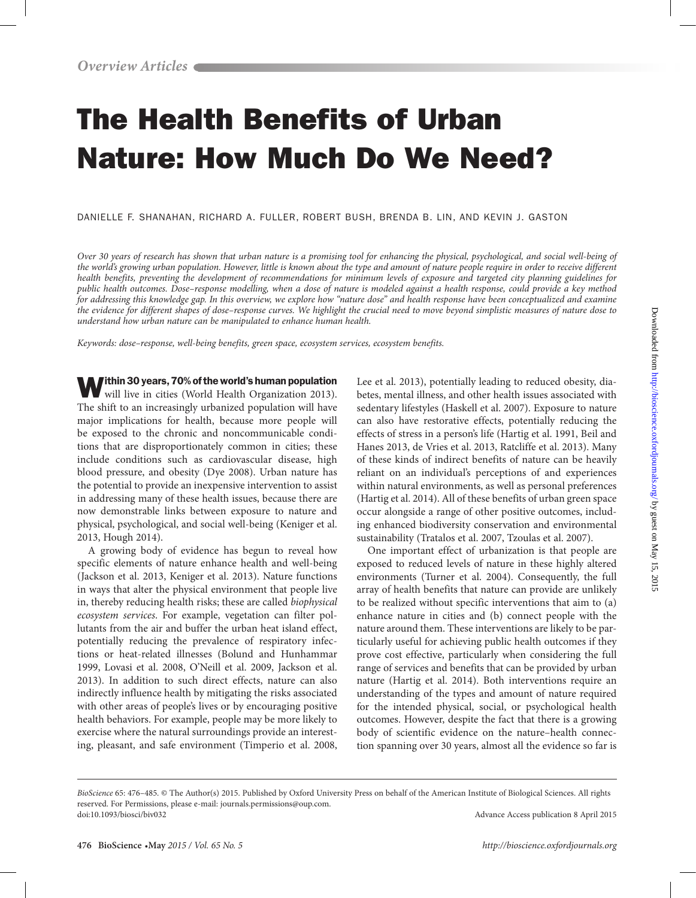# The Health Benefits of Urban Nature: How Much Do We Need?

DANIELLE F. SHANAHAN, RICHARD A. FULLER, ROBERT BUSH, BRENDA B. LIN, AND KEVIN J. GASTON

*Over 30 years of research has shown that urban nature is a promising tool for enhancing the physical, psychological, and social well-being of the world's growing urban population. However, little is known about the type and amount of nature people require in order to receive different*  health benefits, preventing the development of recommendations for minimum levels of exposure and targeted city planning guidelines for *public health outcomes. Dose–response modelling, when a dose of nature is modeled against a health response, could provide a key method for addressing this knowledge gap. In this overview, we explore how "nature dose" and health response have been conceptualized and examine the evidence for different shapes of dose–response curves. We highlight the crucial need to move beyond simplistic measures of nature dose to understand how urban nature can be manipulated to enhance human health.*

*Keywords: dose–response, well-being benefits, green space, ecosystem services, ecosystem benefits.*

**Within 30 years, 70% of the world's human population** 

will live in cities (World Health Organization 2013). The shift to an increasingly urbanized population will have major implications for health, because more people will be exposed to the chronic and noncommunicable conditions that are disproportionately common in cities; these include conditions such as cardiovascular disease, high blood pressure, and obesity (Dye 2008). Urban nature has the potential to provide an inexpensive intervention to assist in addressing many of these health issues, because there are now demonstrable links between exposure to nature and physical, psychological, and social well-being (Keniger et al. 2013, Hough 2014).

A growing body of evidence has begun to reveal how specific elements of nature enhance health and well-being (Jackson et al. 2013, Keniger et al. 2013). Nature functions in ways that alter the physical environment that people live in, thereby reducing health risks; these are called *biophysical ecosystem services*. For example, vegetation can filter pollutants from the air and buffer the urban heat island effect, potentially reducing the prevalence of respiratory infections or heat-related illnesses (Bolund and Hunhammar 1999, Lovasi et al. 2008, O'Neill et al. 2009, Jackson et al. 2013). In addition to such direct effects, nature can also indirectly influence health by mitigating the risks associated with other areas of people's lives or by encouraging positive health behaviors. For example, people may be more likely to exercise where the natural surroundings provide an interesting, pleasant, and safe environment (Timperio et al. 2008,

Lee et al. 2013), potentially leading to reduced obesity, diabetes, mental illness, and other health issues associated with sedentary lifestyles (Haskell et al. 2007). Exposure to nature can also have restorative effects, potentially reducing the effects of stress in a person's life (Hartig et al. 1991, Beil and Hanes 2013, de Vries et al. 2013, Ratcliffe et al. 2013). Many of these kinds of indirect benefits of nature can be heavily reliant on an individual's perceptions of and experiences within natural environments, as well as personal preferences (Hartig et al. 2014). All of these benefits of urban green space occur alongside a range of other positive outcomes, including enhanced biodiversity conservation and environmental sustainability (Tratalos et al. 2007, Tzoulas et al. 2007).

One important effect of urbanization is that people are exposed to reduced levels of nature in these highly altered environments (Turner et al. 2004). Consequently, the full array of health benefits that nature can provide are unlikely to be realized without specific interventions that aim to (a) enhance nature in cities and (b) connect people with the nature around them. These interventions are likely to be particularly useful for achieving public health outcomes if they prove cost effective, particularly when considering the full range of services and benefits that can be provided by urban nature (Hartig et al. 2014). Both interventions require an understanding of the types and amount of nature required for the intended physical, social, or psychological health outcomes. However, despite the fact that there is a growing body of scientific evidence on the nature–health connection spanning over 30 years, almost all the evidence so far is

*BioScience* 65: 476–485. © The Author(s) 2015. Published by Oxford University Press on behalf of the American Institute of Biological Sciences. All rights reserved. For Permissions, please e-mail: journals.permissions@oup.com. doi:10.1093/biosci/biv032 Advance Access publication 8 April 2015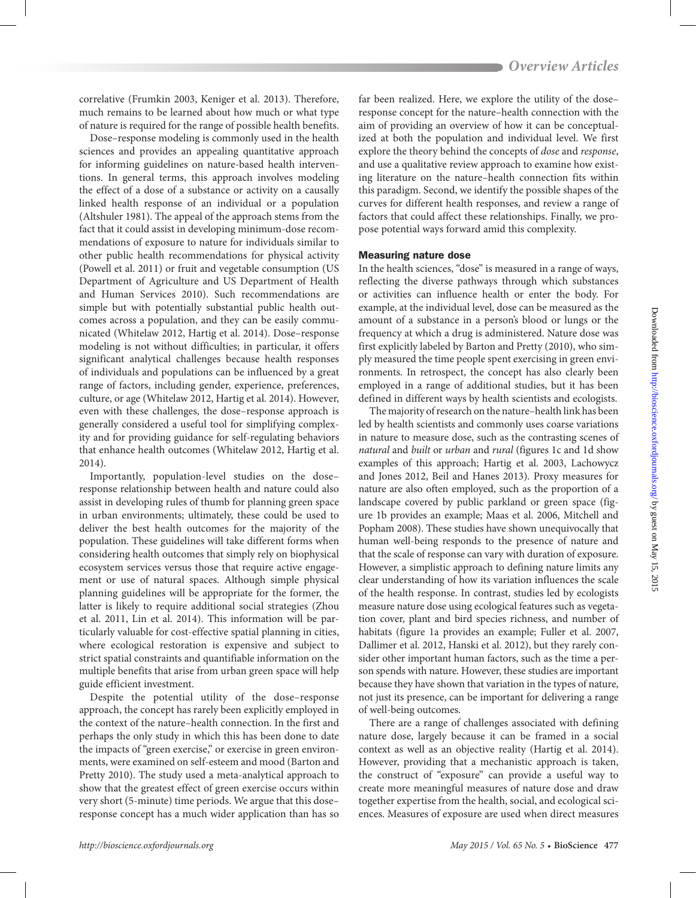correlative (Frumkin 2003, Keniger et al. 2013). Therefore, much remains to be learned about how much or what type of nature is required for the range of possible health benefits.

Dose–response modeling is commonly used in the health sciences and provides an appealing quantitative approach for informing guidelines on nature-based health interventions. In general terms, this approach involves modeling the effect of a dose of a substance or activity on a causally linked health response of an individual or a population (Altshuler 1981). The appeal of the approach stems from the fact that it could assist in developing minimum-dose recommendations of exposure to nature for individuals similar to other public health recommendations for physical activity (Powell et al. 2011) or fruit and vegetable consumption (US Department of Agriculture and US Department of Health and Human Services 2010). Such recommendations are simple but with potentially substantial public health outcomes across a population, and they can be easily communicated (Whitelaw 2012, Hartig et al. 2014). Dose–response modeling is not without difficulties; in particular, it offers significant analytical challenges because health responses of individuals and populations can be influenced by a great range of factors, including gender, experience, preferences, culture, or age (Whitelaw 2012, Hartig et al. 2014). However, even with these challenges, the dose–response approach is generally considered a useful tool for simplifying complexity and for providing guidance for self-regulating behaviors that enhance health outcomes (Whitelaw 2012, Hartig et al. 2014).

Importantly, population-level studies on the dose– response relationship between health and nature could also assist in developing rules of thumb for planning green space in urban environments; ultimately, these could be used to deliver the best health outcomes for the majority of the population. These guidelines will take different forms when considering health outcomes that simply rely on biophysical ecosystem services versus those that require active engagement or use of natural spaces. Although simple physical planning guidelines will be appropriate for the former, the latter is likely to require additional social strategies (Zhou et al. 2011, Lin et al. 2014). This information will be particularly valuable for cost-effective spatial planning in cities, where ecological restoration is expensive and subject to strict spatial constraints and quantifiable information on the multiple benefits that arise from urban green space will help guide efficient investment.

Despite the potential utility of the dose–response approach, the concept has rarely been explicitly employed in the context of the nature–health connection. In the first and perhaps the only study in which this has been done to date the impacts of "green exercise," or exercise in green environments, were examined on self-esteem and mood (Barton and Pretty 2010). The study used a meta-analytical approach to show that the greatest effect of green exercise occurs within very short (5-minute) time periods. We argue that this dose– response concept has a much wider application than has so

far been realized. Here, we explore the utility of the dose– response concept for the nature–health connection with the aim of providing an overview of how it can be conceptualized at both the population and individual level. We first explore the theory behind the concepts of *dose* and *response*, and use a qualitative review approach to examine how existing literature on the nature–health connection fits within this paradigm. Second, we identify the possible shapes of the curves for different health responses, and review a range of factors that could affect these relationships. Finally, we propose potential ways forward amid this complexity.

## Measuring nature dose

In the health sciences, "dose" is measured in a range of ways, reflecting the diverse pathways through which substances or activities can influence health or enter the body. For example, at the individual level, dose can be measured as the amount of a substance in a person's blood or lungs or the frequency at which a drug is administered. Nature dose was first explicitly labeled by Barton and Pretty (2010), who simply measured the time people spent exercising in green environments. In retrospect, the concept has also clearly been employed in a range of additional studies, but it has been defined in different ways by health scientists and ecologists.

The majority of research on the nature–health link has been led by health scientists and commonly uses coarse variations in nature to measure dose, such as the contrasting scenes of *natural* and *built* or *urban* and *rural* (figures 1c and 1d show examples of this approach; Hartig et al. 2003, Lachowycz and Jones 2012, Beil and Hanes 2013). Proxy measures for nature are also often employed, such as the proportion of a landscape covered by public parkland or green space (figure 1b provides an example; Maas et al. 2006, Mitchell and Popham 2008). These studies have shown unequivocally that human well-being responds to the presence of nature and that the scale of response can vary with duration of exposure. However, a simplistic approach to defining nature limits any clear understanding of how its variation influences the scale of the health response. In contrast, studies led by ecologists measure nature dose using ecological features such as vegetation cover, plant and bird species richness, and number of habitats (figure 1a provides an example; Fuller et al. 2007, Dallimer et al. 2012, Hanski et al. 2012), but they rarely consider other important human factors, such as the time a person spends with nature. However, these studies are important because they have shown that variation in the types of nature, not just its presence, can be important for delivering a range of well-being outcomes.

There are a range of challenges associated with defining nature dose, largely because it can be framed in a social context as well as an objective reality (Hartig et al. 2014). However, providing that a mechanistic approach is taken, the construct of "exposure" can provide a useful way to create more meaningful measures of nature dose and draw together expertise from the health, social, and ecological sciences. Measures of exposure are used when direct measures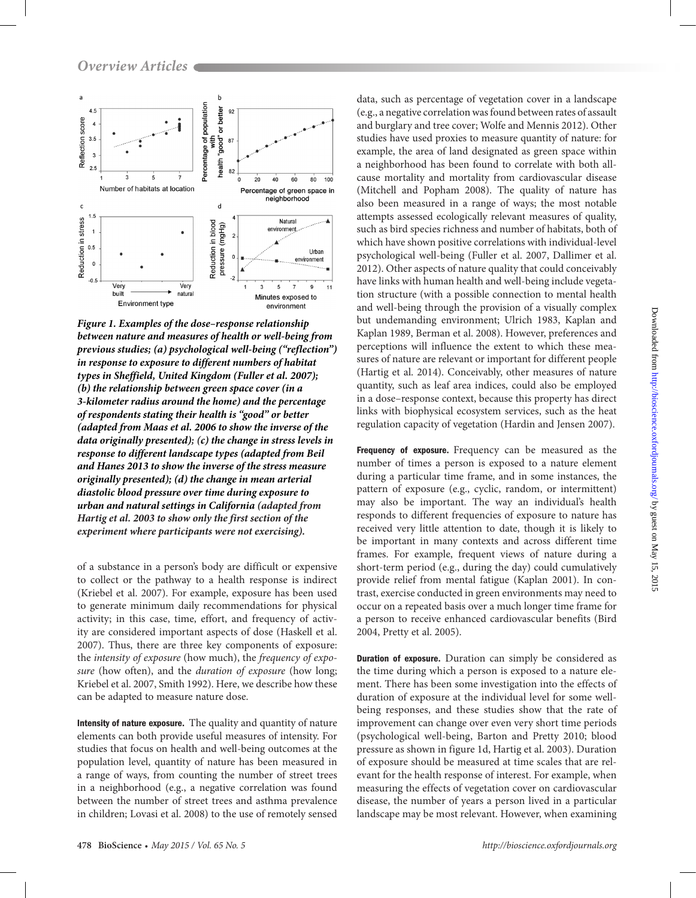

*Figure 1. Examples of the dose–response relationship between nature and measures of health or well-being from previous studies; (a) psychological well-being ("reflection") in response to exposure to different numbers of habitat types in Sheffield, United Kingdom (Fuller et al. 2007); (b) the relationship between green space cover (in a 3-kilometer radius around the home) and the percentage of respondents stating their health is "good" or better (adapted from Maas et al. 2006 to show the inverse of the data originally presented); (c) the change in stress levels in response to different landscape types (adapted from Beil and Hanes 2013 to show the inverse of the stress measure originally presented); (d) the change in mean arterial diastolic blood pressure over time during exposure to urban and natural settings in California (adapted from Hartig et al. 2003 to show only the first section of the experiment where participants were not exercising).*

of a substance in a person's body are difficult or expensive to collect or the pathway to a health response is indirect (Kriebel et al. 2007). For example, exposure has been used to generate minimum daily recommendations for physical activity; in this case, time, effort, and frequency of activity are considered important aspects of dose (Haskell et al. 2007). Thus, there are three key components of exposure: the *intensity of exposure* (how much), the *frequency of exposure* (how often), and the *duration of exposure* (how long; Kriebel et al. 2007, Smith 1992). Here, we describe how these can be adapted to measure nature dose.

Intensity of nature exposure. The quality and quantity of nature elements can both provide useful measures of intensity. For studies that focus on health and well-being outcomes at the population level, quantity of nature has been measured in a range of ways, from counting the number of street trees in a neighborhood (e.g., a negative correlation was found between the number of street trees and asthma prevalence in children; Lovasi et al. 2008) to the use of remotely sensed

data, such as percentage of vegetation cover in a landscape (e.g., a negative correlation was found between rates of assault and burglary and tree cover; Wolfe and Mennis 2012). Other studies have used proxies to measure quantity of nature: for example, the area of land designated as green space within a neighborhood has been found to correlate with both allcause mortality and mortality from cardiovascular disease (Mitchell and Popham 2008). The quality of nature has also been measured in a range of ways; the most notable attempts assessed ecologically relevant measures of quality, such as bird species richness and number of habitats, both of which have shown positive correlations with individual-level psychological well-being (Fuller et al. 2007, Dallimer et al. 2012). Other aspects of nature quality that could conceivably have links with human health and well-being include vegetation structure (with a possible connection to mental health and well-being through the provision of a visually complex but undemanding environment; Ulrich 1983, Kaplan and Kaplan 1989, Berman et al. 2008). However, preferences and perceptions will influence the extent to which these measures of nature are relevant or important for different people (Hartig et al. 2014). Conceivably, other measures of nature quantity, such as leaf area indices, could also be employed in a dose–response context, because this property has direct links with biophysical ecosystem services, such as the heat regulation capacity of vegetation (Hardin and Jensen 2007).

Frequency of exposure. Frequency can be measured as the number of times a person is exposed to a nature element during a particular time frame, and in some instances, the pattern of exposure (e.g., cyclic, random, or intermittent) may also be important. The way an individual's health responds to different frequencies of exposure to nature has received very little attention to date, though it is likely to be important in many contexts and across different time frames. For example, frequent views of nature during a short-term period (e.g., during the day) could cumulatively provide relief from mental fatigue (Kaplan 2001). In contrast, exercise conducted in green environments may need to occur on a repeated basis over a much longer time frame for a person to receive enhanced cardiovascular benefits (Bird 2004, Pretty et al. 2005).

Duration of exposure. Duration can simply be considered as the time during which a person is exposed to a nature element. There has been some investigation into the effects of duration of exposure at the individual level for some wellbeing responses, and these studies show that the rate of improvement can change over even very short time periods (psychological well-being, Barton and Pretty 2010; blood pressure as shown in figure 1d, Hartig et al. 2003). Duration of exposure should be measured at time scales that are relevant for the health response of interest. For example, when measuring the effects of vegetation cover on cardiovascular disease, the number of years a person lived in a particular landscape may be most relevant. However, when examining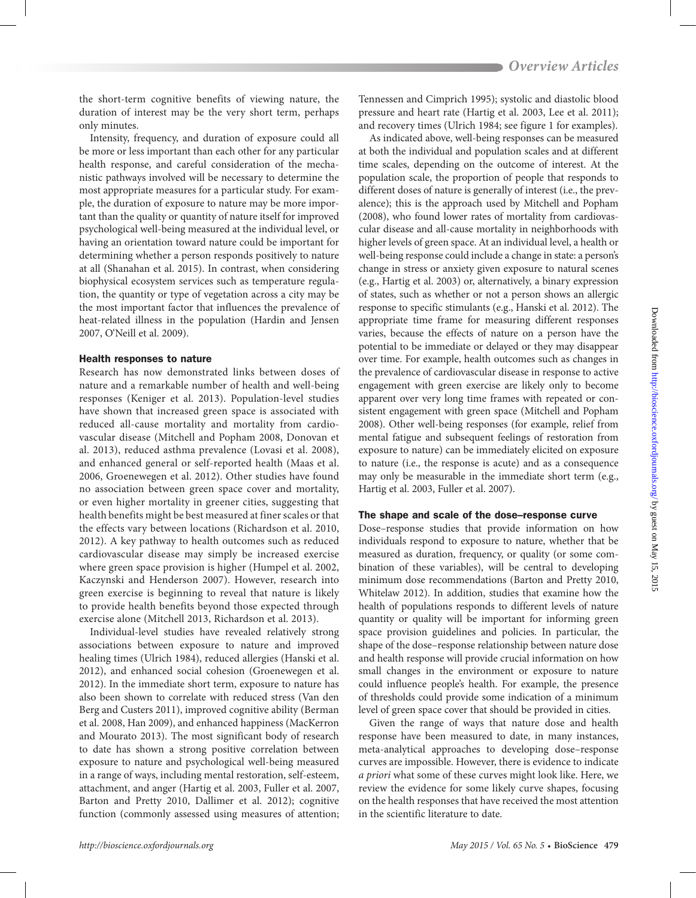the short-term cognitive benefits of viewing nature, the duration of interest may be the very short term, perhaps only minutes.

Intensity, frequency, and duration of exposure could all be more or less important than each other for any particular health response, and careful consideration of the mechanistic pathways involved will be necessary to determine the most appropriate measures for a particular study. For example, the duration of exposure to nature may be more important than the quality or quantity of nature itself for improved psychological well-being measured at the individual level, or having an orientation toward nature could be important for determining whether a person responds positively to nature at all (Shanahan et al. 2015). In contrast, when considering biophysical ecosystem services such as temperature regulation, the quantity or type of vegetation across a city may be the most important factor that influences the prevalence of heat-related illness in the population (Hardin and Jensen 2007, O'Neill et al. 2009).

## Health responses to nature

Research has now demonstrated links between doses of nature and a remarkable number of health and well-being responses (Keniger et al. 2013). Population-level studies have shown that increased green space is associated with reduced all-cause mortality and mortality from cardiovascular disease (Mitchell and Popham 2008, Donovan et al. 2013), reduced asthma prevalence (Lovasi et al. 2008), and enhanced general or self-reported health (Maas et al. 2006, Groenewegen et al. 2012). Other studies have found no association between green space cover and mortality, or even higher mortality in greener cities, suggesting that health benefits might be best measured at finer scales or that the effects vary between locations (Richardson et al. 2010, 2012). A key pathway to health outcomes such as reduced cardiovascular disease may simply be increased exercise where green space provision is higher (Humpel et al. 2002, Kaczynski and Henderson 2007). However, research into green exercise is beginning to reveal that nature is likely to provide health benefits beyond those expected through exercise alone (Mitchell 2013, Richardson et al. 2013).

Individual-level studies have revealed relatively strong associations between exposure to nature and improved healing times (Ulrich 1984), reduced allergies (Hanski et al. 2012), and enhanced social cohesion (Groenewegen et al. 2012). In the immediate short term, exposure to nature has also been shown to correlate with reduced stress (Van den Berg and Custers 2011), improved cognitive ability (Berman et al. 2008, Han 2009), and enhanced happiness (MacKerron and Mourato 2013). The most significant body of research to date has shown a strong positive correlation between exposure to nature and psychological well-being measured in a range of ways, including mental restoration, self-esteem, attachment, and anger (Hartig et al. 2003, Fuller et al. 2007, Barton and Pretty 2010, Dallimer et al. 2012); cognitive function (commonly assessed using measures of attention;

Tennessen and Cimprich 1995); systolic and diastolic blood pressure and heart rate (Hartig et al. 2003, Lee et al. 2011); and recovery times (Ulrich 1984; see figure 1 for examples).

As indicated above, well-being responses can be measured at both the individual and population scales and at different time scales, depending on the outcome of interest. At the population scale, the proportion of people that responds to different doses of nature is generally of interest (i.e., the prevalence); this is the approach used by Mitchell and Popham (2008), who found lower rates of mortality from cardiovascular disease and all-cause mortality in neighborhoods with higher levels of green space. At an individual level, a health or well-being response could include a change in state: a person's change in stress or anxiety given exposure to natural scenes (e.g., Hartig et al. 2003) or, alternatively, a binary expression of states, such as whether or not a person shows an allergic response to specific stimulants (e.g., Hanski et al. 2012). The appropriate time frame for measuring different responses varies, because the effects of nature on a person have the potential to be immediate or delayed or they may disappear over time. For example, health outcomes such as changes in the prevalence of cardiovascular disease in response to active engagement with green exercise are likely only to become apparent over very long time frames with repeated or consistent engagement with green space (Mitchell and Popham 2008). Other well-being responses (for example, relief from mental fatigue and subsequent feelings of restoration from exposure to nature) can be immediately elicited on exposure to nature (i.e., the response is acute) and as a consequence may only be measurable in the immediate short term (e.g., Hartig et al. 2003, Fuller et al. 2007).

### The shape and scale of the dose–response curve

Dose–response studies that provide information on how individuals respond to exposure to nature, whether that be measured as duration, frequency, or quality (or some combination of these variables), will be central to developing minimum dose recommendations (Barton and Pretty 2010, Whitelaw 2012). In addition, studies that examine how the health of populations responds to different levels of nature quantity or quality will be important for informing green space provision guidelines and policies. In particular, the shape of the dose–response relationship between nature dose and health response will provide crucial information on how small changes in the environment or exposure to nature could influence people's health. For example, the presence of thresholds could provide some indication of a minimum level of green space cover that should be provided in cities.

Given the range of ways that nature dose and health response have been measured to date, in many instances, meta-analytical approaches to developing dose–response curves are impossible. However, there is evidence to indicate *a priori* what some of these curves might look like. Here, we review the evidence for some likely curve shapes, focusing on the health responses that have received the most attention in the scientific literature to date.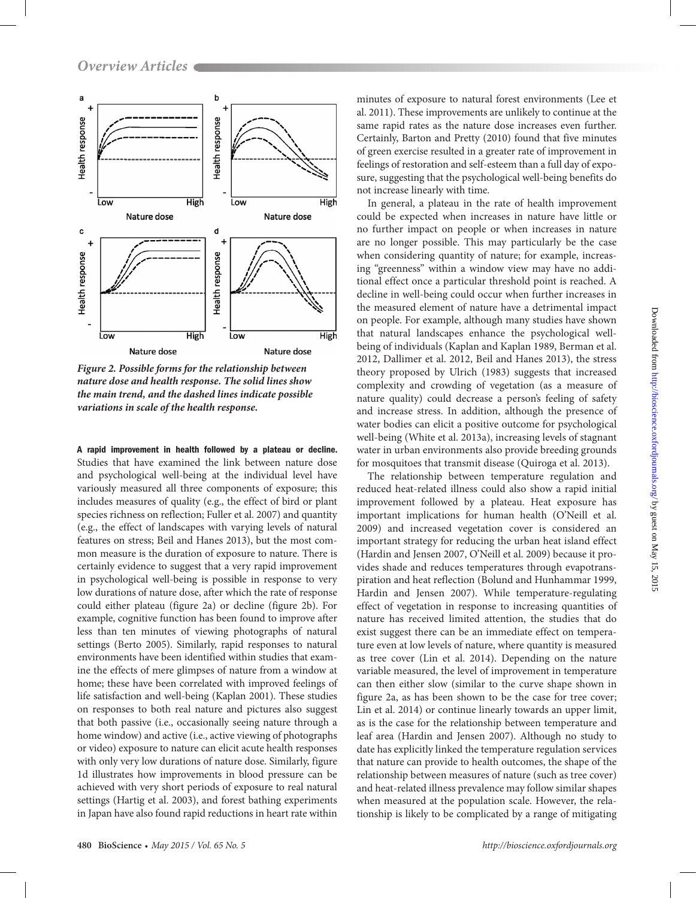

*Figure 2. Possible forms for the relationship between nature dose and health response. The solid lines show the main trend, and the dashed lines indicate possible variations in scale of the health response.*

A rapid improvement in health followed by a plateau or decline. Studies that have examined the link between nature dose and psychological well-being at the individual level have variously measured all three components of exposure; this includes measures of quality (e.g., the effect of bird or plant species richness on reflection; Fuller et al. 2007) and quantity (e.g., the effect of landscapes with varying levels of natural features on stress; Beil and Hanes 2013), but the most common measure is the duration of exposure to nature. There is certainly evidence to suggest that a very rapid improvement in psychological well-being is possible in response to very low durations of nature dose, after which the rate of response could either plateau (figure 2a) or decline (figure 2b). For example, cognitive function has been found to improve after less than ten minutes of viewing photographs of natural settings (Berto 2005). Similarly, rapid responses to natural environments have been identified within studies that examine the effects of mere glimpses of nature from a window at home; these have been correlated with improved feelings of life satisfaction and well-being (Kaplan 2001). These studies on responses to both real nature and pictures also suggest that both passive (i.e., occasionally seeing nature through a home window) and active (i.e., active viewing of photographs or video) exposure to nature can elicit acute health responses with only very low durations of nature dose. Similarly, figure 1d illustrates how improvements in blood pressure can be achieved with very short periods of exposure to real natural settings (Hartig et al. 2003), and forest bathing experiments in Japan have also found rapid reductions in heart rate within

minutes of exposure to natural forest environments (Lee et al. 2011). These improvements are unlikely to continue at the same rapid rates as the nature dose increases even further. Certainly, Barton and Pretty (2010) found that five minutes of green exercise resulted in a greater rate of improvement in feelings of restoration and self-esteem than a full day of exposure, suggesting that the psychological well-being benefits do not increase linearly with time.

In general, a plateau in the rate of health improvement could be expected when increases in nature have little or no further impact on people or when increases in nature are no longer possible. This may particularly be the case when considering quantity of nature; for example, increasing "greenness" within a window view may have no additional effect once a particular threshold point is reached. A decline in well-being could occur when further increases in the measured element of nature have a detrimental impact on people. For example, although many studies have shown that natural landscapes enhance the psychological wellbeing of individuals (Kaplan and Kaplan 1989, Berman et al. 2012, Dallimer et al. 2012, Beil and Hanes 2013), the stress theory proposed by Ulrich (1983) suggests that increased complexity and crowding of vegetation (as a measure of nature quality) could decrease a person's feeling of safety and increase stress. In addition, although the presence of water bodies can elicit a positive outcome for psychological well-being (White et al. 2013a), increasing levels of stagnant water in urban environments also provide breeding grounds for mosquitoes that transmit disease (Quiroga et al. 2013).

The relationship between temperature regulation and reduced heat-related illness could also show a rapid initial improvement followed by a plateau. Heat exposure has important implications for human health (O'Neill et al. 2009) and increased vegetation cover is considered an important strategy for reducing the urban heat island effect (Hardin and Jensen 2007, O'Neill et al. 2009) because it provides shade and reduces temperatures through evapotranspiration and heat reflection (Bolund and Hunhammar 1999, Hardin and Jensen 2007). While temperature-regulating effect of vegetation in response to increasing quantities of nature has received limited attention, the studies that do exist suggest there can be an immediate effect on temperature even at low levels of nature, where quantity is measured as tree cover (Lin et al. 2014). Depending on the nature variable measured, the level of improvement in temperature can then either slow (similar to the curve shape shown in figure 2a, as has been shown to be the case for tree cover; Lin et al. 2014) or continue linearly towards an upper limit, as is the case for the relationship between temperature and leaf area (Hardin and Jensen 2007). Although no study to date has explicitly linked the temperature regulation services that nature can provide to health outcomes, the shape of the relationship between measures of nature (such as tree cover) and heat-related illness prevalence may follow similar shapes when measured at the population scale. However, the relationship is likely to be complicated by a range of mitigating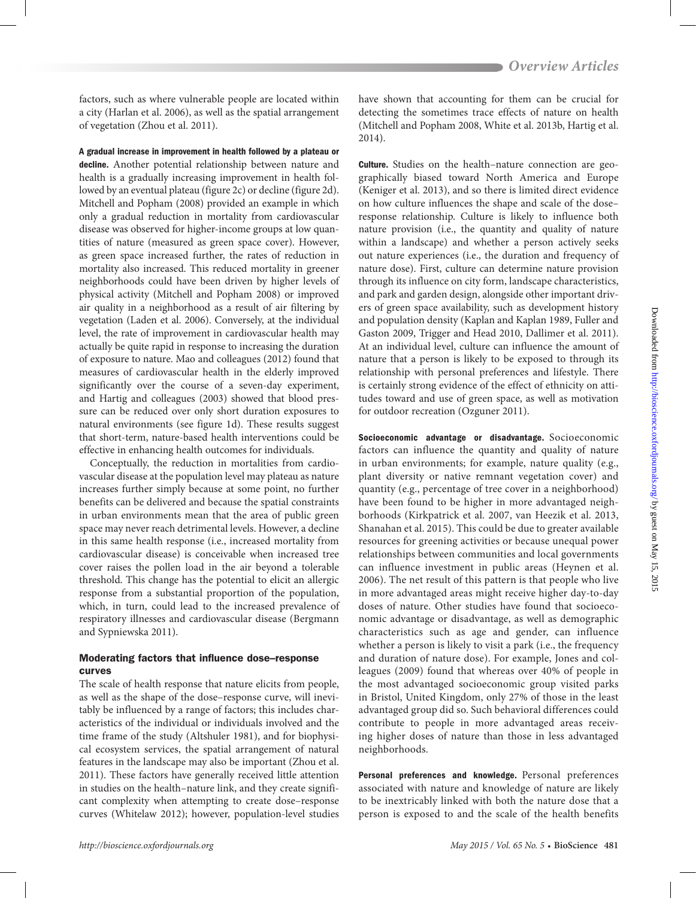factors, such as where vulnerable people are located within a city (Harlan et al. 2006), as well as the spatial arrangement of vegetation (Zhou et al. 2011).

A gradual increase in improvement in health followed by a plateau or decline. Another potential relationship between nature and health is a gradually increasing improvement in health followed by an eventual plateau (figure 2c) or decline (figure 2d). Mitchell and Popham (2008) provided an example in which only a gradual reduction in mortality from cardiovascular disease was observed for higher-income groups at low quantities of nature (measured as green space cover). However, as green space increased further, the rates of reduction in mortality also increased. This reduced mortality in greener neighborhoods could have been driven by higher levels of physical activity (Mitchell and Popham 2008) or improved air quality in a neighborhood as a result of air filtering by vegetation (Laden et al. 2006). Conversely, at the individual level, the rate of improvement in cardiovascular health may actually be quite rapid in response to increasing the duration of exposure to nature. Mao and colleagues (2012) found that measures of cardiovascular health in the elderly improved significantly over the course of a seven-day experiment, and Hartig and colleagues (2003) showed that blood pressure can be reduced over only short duration exposures to natural environments (see figure 1d). These results suggest that short-term, nature-based health interventions could be effective in enhancing health outcomes for individuals.

Conceptually, the reduction in mortalities from cardiovascular disease at the population level may plateau as nature increases further simply because at some point, no further benefits can be delivered and because the spatial constraints in urban environments mean that the area of public green space may never reach detrimental levels. However, a decline in this same health response (i.e., increased mortality from cardiovascular disease) is conceivable when increased tree cover raises the pollen load in the air beyond a tolerable threshold. This change has the potential to elicit an allergic response from a substantial proportion of the population, which, in turn, could lead to the increased prevalence of respiratory illnesses and cardiovascular disease (Bergmann and Sypniewska 2011).

# Moderating factors that influence dose–response curves

The scale of health response that nature elicits from people, as well as the shape of the dose–response curve, will inevitably be influenced by a range of factors; this includes characteristics of the individual or individuals involved and the time frame of the study (Altshuler 1981), and for biophysical ecosystem services, the spatial arrangement of natural features in the landscape may also be important (Zhou et al. 2011). These factors have generally received little attention in studies on the health–nature link, and they create significant complexity when attempting to create dose–response curves (Whitelaw 2012); however, population-level studies

have shown that accounting for them can be crucial for detecting the sometimes trace effects of nature on health (Mitchell and Popham 2008, White et al. 2013b, Hartig et al. 2014).

Culture. Studies on the health–nature connection are geographically biased toward North America and Europe (Keniger et al. 2013), and so there is limited direct evidence on how culture influences the shape and scale of the dose– response relationship. Culture is likely to influence both nature provision (i.e., the quantity and quality of nature within a landscape) and whether a person actively seeks out nature experiences (i.e., the duration and frequency of nature dose). First, culture can determine nature provision through its influence on city form, landscape characteristics, and park and garden design, alongside other important drivers of green space availability, such as development history and population density (Kaplan and Kaplan 1989, Fuller and Gaston 2009, Trigger and Head 2010, Dallimer et al. 2011). At an individual level, culture can influence the amount of nature that a person is likely to be exposed to through its relationship with personal preferences and lifestyle. There is certainly strong evidence of the effect of ethnicity on attitudes toward and use of green space, as well as motivation for outdoor recreation (Ozguner 2011).

Socioeconomic advantage or disadvantage. Socioeconomic factors can influence the quantity and quality of nature in urban environments; for example, nature quality (e.g., plant diversity or native remnant vegetation cover) and quantity (e.g., percentage of tree cover in a neighborhood) have been found to be higher in more advantaged neighborhoods (Kirkpatrick et al. 2007, van Heezik et al. 2013, Shanahan et al. 2015). This could be due to greater available resources for greening activities or because unequal power relationships between communities and local governments can influence investment in public areas (Heynen et al. 2006). The net result of this pattern is that people who live in more advantaged areas might receive higher day-to-day doses of nature. Other studies have found that socioeconomic advantage or disadvantage, as well as demographic characteristics such as age and gender, can influence whether a person is likely to visit a park (i.e., the frequency and duration of nature dose). For example, Jones and colleagues (2009) found that whereas over 40% of people in the most advantaged socioeconomic group visited parks in Bristol, United Kingdom, only 27% of those in the least advantaged group did so. Such behavioral differences could contribute to people in more advantaged areas receiving higher doses of nature than those in less advantaged neighborhoods.

Personal preferences and knowledge. Personal preferences associated with nature and knowledge of nature are likely to be inextricably linked with both the nature dose that a person is exposed to and the scale of the health benefits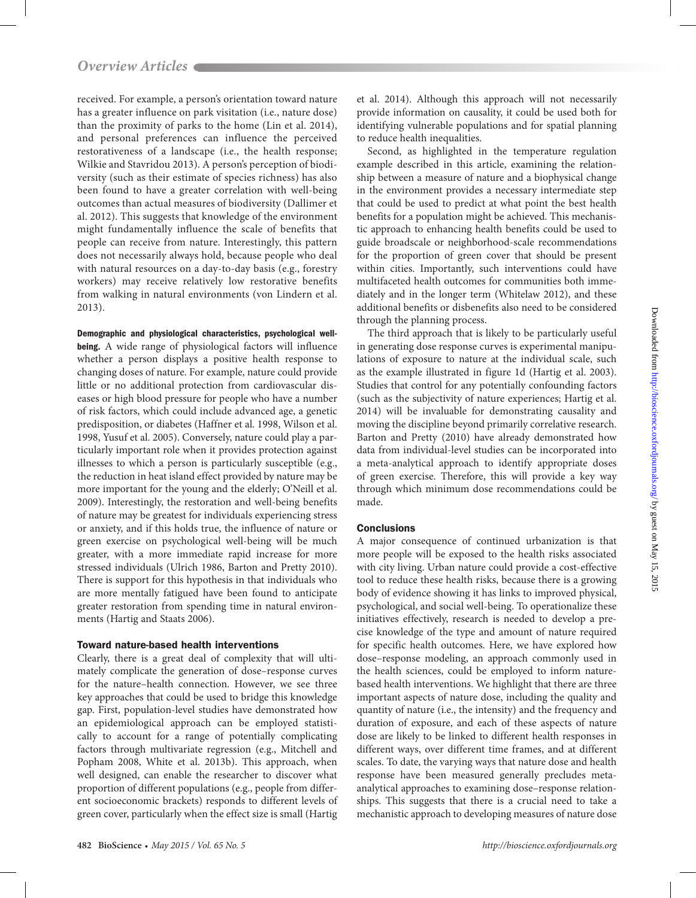received. For example, a person's orientation toward nature has a greater influence on park visitation (i.e., nature dose) than the proximity of parks to the home (Lin et al. 2014), and personal preferences can influence the perceived restorativeness of a landscape (i.e., the health response; Wilkie and Stavridou 2013). A person's perception of biodiversity (such as their estimate of species richness) has also been found to have a greater correlation with well-being outcomes than actual measures of biodiversity (Dallimer et al. 2012). This suggests that knowledge of the environment might fundamentally influence the scale of benefits that people can receive from nature. Interestingly, this pattern does not necessarily always hold, because people who deal with natural resources on a day-to-day basis (e.g., forestry workers) may receive relatively low restorative benefits from walking in natural environments (von Lindern et al. 2013).

Demographic and physiological characteristics, psychological well-

being. A wide range of physiological factors will influence whether a person displays a positive health response to changing doses of nature. For example, nature could provide little or no additional protection from cardiovascular diseases or high blood pressure for people who have a number of risk factors, which could include advanced age, a genetic predisposition, or diabetes (Haffner et al. 1998, Wilson et al. 1998, Yusuf et al. 2005). Conversely, nature could play a particularly important role when it provides protection against illnesses to which a person is particularly susceptible (e.g., the reduction in heat island effect provided by nature may be more important for the young and the elderly; O'Neill et al. 2009). Interestingly, the restoration and well-being benefits of nature may be greatest for individuals experiencing stress or anxiety, and if this holds true, the influence of nature or green exercise on psychological well-being will be much greater, with a more immediate rapid increase for more stressed individuals (Ulrich 1986, Barton and Pretty 2010). There is support for this hypothesis in that individuals who are more mentally fatigued have been found to anticipate greater restoration from spending time in natural environments (Hartig and Staats 2006).

## Toward nature-based health interventions

Clearly, there is a great deal of complexity that will ultimately complicate the generation of dose–response curves for the nature–health connection. However, we see three key approaches that could be used to bridge this knowledge gap. First, population-level studies have demonstrated how an epidemiological approach can be employed statistically to account for a range of potentially complicating factors through multivariate regression (e.g., Mitchell and Popham 2008, White et al. 2013b). This approach, when well designed, can enable the researcher to discover what proportion of different populations (e.g., people from different socioeconomic brackets) responds to different levels of green cover, particularly when the effect size is small (Hartig

et al. 2014). Although this approach will not necessarily provide information on causality, it could be used both for identifying vulnerable populations and for spatial planning to reduce health inequalities.

Second, as highlighted in the temperature regulation example described in this article, examining the relationship between a measure of nature and a biophysical change in the environment provides a necessary intermediate step that could be used to predict at what point the best health benefits for a population might be achieved. This mechanistic approach to enhancing health benefits could be used to guide broadscale or neighborhood-scale recommendations for the proportion of green cover that should be present within cities. Importantly, such interventions could have multifaceted health outcomes for communities both immediately and in the longer term (Whitelaw 2012), and these additional benefits or disbenefits also need to be considered through the planning process.

The third approach that is likely to be particularly useful in generating dose response curves is experimental manipulations of exposure to nature at the individual scale, such as the example illustrated in figure 1d (Hartig et al. 2003). Studies that control for any potentially confounding factors (such as the subjectivity of nature experiences; Hartig et al. 2014) will be invaluable for demonstrating causality and moving the discipline beyond primarily correlative research. Barton and Pretty (2010) have already demonstrated how data from individual-level studies can be incorporated into a meta-analytical approach to identify appropriate doses of green exercise. Therefore, this will provide a key way through which minimum dose recommendations could be made.

## **Conclusions**

A major consequence of continued urbanization is that more people will be exposed to the health risks associated with city living. Urban nature could provide a cost-effective tool to reduce these health risks, because there is a growing body of evidence showing it has links to improved physical, psychological, and social well-being. To operationalize these initiatives effectively, research is needed to develop a precise knowledge of the type and amount of nature required for specific health outcomes. Here, we have explored how dose–response modeling, an approach commonly used in the health sciences, could be employed to inform naturebased health interventions. We highlight that there are three important aspects of nature dose, including the quality and quantity of nature (i.e., the intensity) and the frequency and duration of exposure, and each of these aspects of nature dose are likely to be linked to different health responses in different ways, over different time frames, and at different scales. To date, the varying ways that nature dose and health response have been measured generally precludes metaanalytical approaches to examining dose–response relationships. This suggests that there is a crucial need to take a mechanistic approach to developing measures of nature dose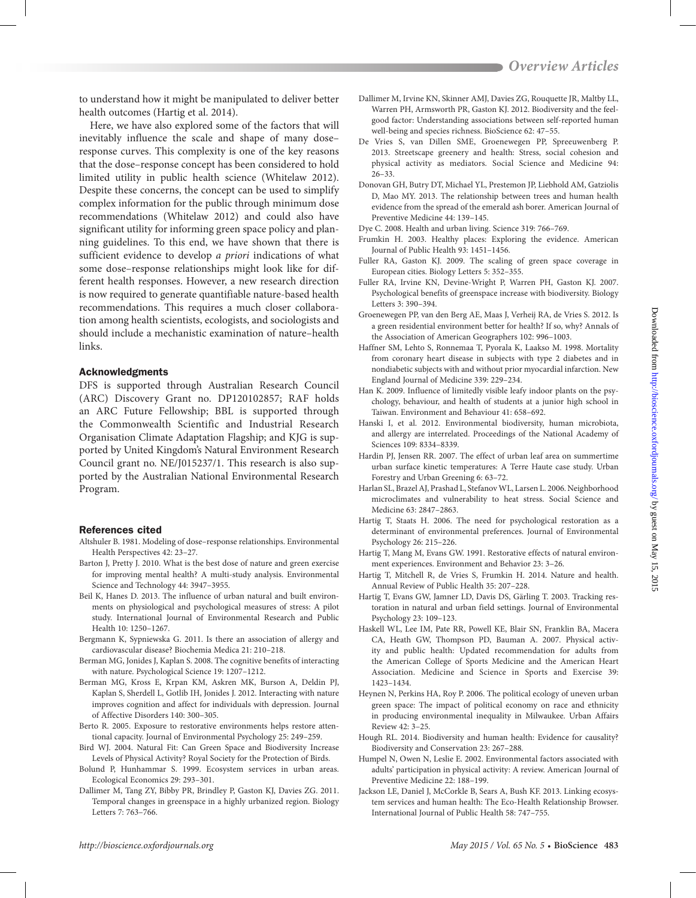to understand how it might be manipulated to deliver better health outcomes (Hartig et al. 2014).

Here, we have also explored some of the factors that will inevitably influence the scale and shape of many dose– response curves. This complexity is one of the key reasons that the dose–response concept has been considered to hold limited utility in public health science (Whitelaw 2012). Despite these concerns, the concept can be used to simplify complex information for the public through minimum dose recommendations (Whitelaw 2012) and could also have significant utility for informing green space policy and planning guidelines. To this end, we have shown that there is sufficient evidence to develop *a priori* indications of what some dose–response relationships might look like for different health responses. However, a new research direction is now required to generate quantifiable nature-based health recommendations. This requires a much closer collaboration among health scientists, ecologists, and sociologists and should include a mechanistic examination of nature–health links.

### Acknowledgments

DFS is supported through Australian Research Council (ARC) Discovery Grant no. DP120102857; RAF holds an ARC Future Fellowship; BBL is supported through the Commonwealth Scientific and Industrial Research Organisation Climate Adaptation Flagship; and KJG is supported by United Kingdom's Natural Environment Research Council grant no. NE/J015237/1. This research is also supported by the Australian National Environmental Research Program.

## References cited

- Altshuler B. 1981. Modeling of dose–response relationships. Environmental Health Perspectives 42: 23–27.
- Barton J, Pretty J. 2010. What is the best dose of nature and green exercise for improving mental health? A multi-study analysis. Environmental Science and Technology 44: 3947–3955.
- Beil K, Hanes D. 2013. The influence of urban natural and built environments on physiological and psychological measures of stress: A pilot study. International Journal of Environmental Research and Public Health 10: 1250–1267.
- Bergmann K, Sypniewska G. 2011. Is there an association of allergy and cardiovascular disease? Biochemia Medica 21: 210–218.
- Berman MG, Jonides J, Kaplan S. 2008. The cognitive benefits of interacting with nature. Psychological Science 19: 1207–1212.
- Berman MG, Kross E, Krpan KM, Askren MK, Burson A, Deldin PJ, Kaplan S, Sherdell L, Gotlib IH, Jonides J. 2012. Interacting with nature improves cognition and affect for individuals with depression. Journal of Affective Disorders 140: 300–305.
- Berto R. 2005. Exposure to restorative environments helps restore attentional capacity. Journal of Environmental Psychology 25: 249–259.
- Bird WJ. 2004. Natural Fit: Can Green Space and Biodiversity Increase Levels of Physical Activity? Royal Society for the Protection of Birds.
- Bolund P, Hunhammar S. 1999. Ecosystem services in urban areas. Ecological Economics 29: 293–301.
- Dallimer M, Tang ZY, Bibby PR, Brindley P, Gaston KJ, Davies ZG. 2011. Temporal changes in greenspace in a highly urbanized region. Biology Letters 7: 763–766.
- Dallimer M, Irvine KN, Skinner AMJ, Davies ZG, Rouquette JR, Maltby LL, Warren PH, Armsworth PR, Gaston KJ. 2012. Biodiversity and the feelgood factor: Understanding associations between self-reported human well-being and species richness. BioScience 62: 47–55.
- De Vries S, van Dillen SME, Groenewegen PP, Spreeuwenberg P. 2013. Streetscape greenery and health: Stress, social cohesion and physical activity as mediators. Social Science and Medicine 94: 26–33.
- Donovan GH, Butry DT, Michael YL, Prestemon JP, Liebhold AM, Gatziolis D, Mao MY. 2013. The relationship between trees and human health evidence from the spread of the emerald ash borer. American Journal of Preventive Medicine 44: 139–145.
- Dye C. 2008. Health and urban living. Science 319: 766–769.
- Frumkin H. 2003. Healthy places: Exploring the evidence. American Journal of Public Health 93: 1451–1456.
- Fuller RA, Gaston KJ. 2009. The scaling of green space coverage in European cities. Biology Letters 5: 352–355.
- Fuller RA, Irvine KN, Devine-Wright P, Warren PH, Gaston KJ. 2007. Psychological benefits of greenspace increase with biodiversity. Biology Letters 3: 390–394.
- Groenewegen PP, van den Berg AE, Maas J, Verheij RA, de Vries S. 2012. Is a green residential environment better for health? If so, why? Annals of the Association of American Geographers 102: 996–1003.
- Haffner SM, Lehto S, Ronnemaa T, Pyorala K, Laakso M. 1998. Mortality from coronary heart disease in subjects with type 2 diabetes and in nondiabetic subjects with and without prior myocardial infarction. New England Journal of Medicine 339: 229–234.
- Han K. 2009. Influence of limitedly visible leafy indoor plants on the psychology, behaviour, and health of students at a junior high school in Taiwan. Environment and Behaviour 41: 658–692.
- Hanski I, et al. 2012. Environmental biodiversity, human microbiota, and allergy are interrelated. Proceedings of the National Academy of Sciences 109: 8334–8339.
- Hardin PJ, Jensen RR. 2007. The effect of urban leaf area on summertime urban surface kinetic temperatures: A Terre Haute case study. Urban Forestry and Urban Greening 6: 63–72.
- Harlan SL, Brazel AJ, Prashad L, Stefanov WL, Larsen L. 2006. Neighborhood microclimates and vulnerability to heat stress. Social Science and Medicine 63: 2847–2863.
- Hartig T, Staats H. 2006. The need for psychological restoration as a determinant of environmental preferences. Journal of Environmental Psychology 26: 215–226.
- Hartig T, Mang M, Evans GW. 1991. Restorative effects of natural environment experiences. Environment and Behavior 23: 3–26.
- Hartig T, Mitchell R, de Vries S, Frumkin H. 2014. Nature and health. Annual Review of Public Health 35: 207–228.
- Hartig T, Evans GW, Jamner LD, Davis DS, Gärling T. 2003. Tracking restoration in natural and urban field settings. Journal of Environmental Psychology 23: 109–123.
- Haskell WL, Lee IM, Pate RR, Powell KE, Blair SN, Franklin BA, Macera CA, Heath GW, Thompson PD, Bauman A. 2007. Physical activity and public health: Updated recommendation for adults from the American College of Sports Medicine and the American Heart Association. Medicine and Science in Sports and Exercise 39: 1423–1434.
- Heynen N, Perkins HA, Roy P. 2006. The political ecology of uneven urban green space: The impact of political economy on race and ethnicity in producing environmental inequality in Milwaukee. Urban Affairs Review 42: 3–25.
- Hough RL. 2014. Biodiversity and human health: Evidence for causality? Biodiversity and Conservation 23: 267–288.
- Humpel N, Owen N, Leslie E. 2002. Environmental factors associated with adults' participation in physical activity: A review. American Journal of Preventive Medicine 22: 188–199.
- Jackson LE, Daniel J, McCorkle B, Sears A, Bush KF. 2013. Linking ecosystem services and human health: The Eco-Health Relationship Browser. International Journal of Public Health 58: 747–755.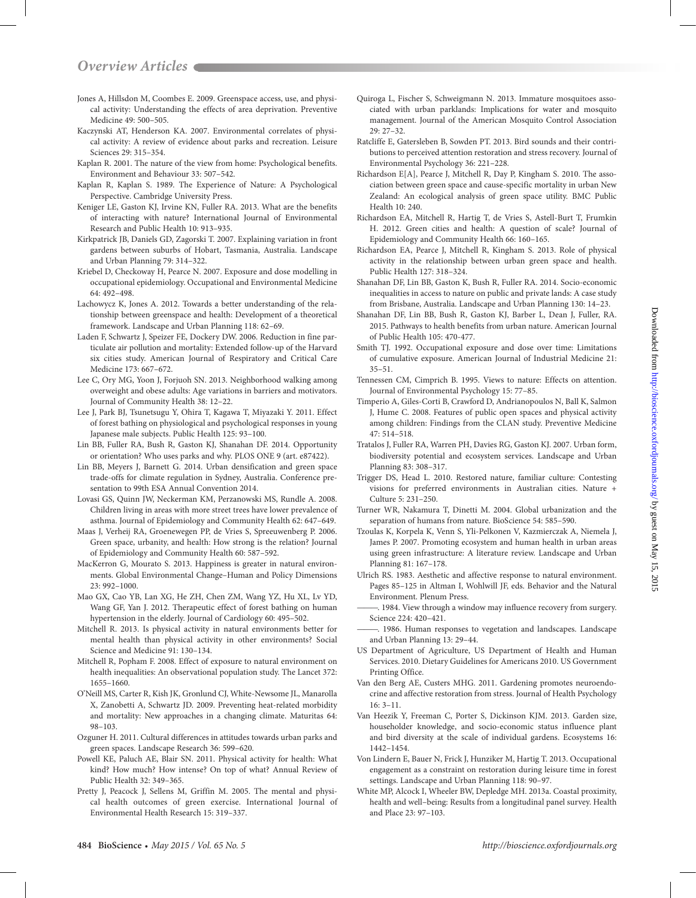- Jones A, Hillsdon M, Coombes E. 2009. Greenspace access, use, and physical activity: Understanding the effects of area deprivation. Preventive Medicine 49: 500–505.
- Kaczynski AT, Henderson KA. 2007. Environmental correlates of physical activity: A review of evidence about parks and recreation. Leisure Sciences 29: 315–354.
- Kaplan R. 2001. The nature of the view from home: Psychological benefits. Environment and Behaviour 33: 507–542.
- Kaplan R, Kaplan S. 1989. The Experience of Nature: A Psychological Perspective. Cambridge University Press.
- Keniger LE, Gaston KJ, Irvine KN, Fuller RA. 2013. What are the benefits of interacting with nature? International Journal of Environmental Research and Public Health 10: 913–935.
- Kirkpatrick JB, Daniels GD, Zagorski T. 2007. Explaining variation in front gardens between suburbs of Hobart, Tasmania, Australia. Landscape and Urban Planning 79: 314–322.
- Kriebel D, Checkoway H, Pearce N. 2007. Exposure and dose modelling in occupational epidemiology. Occupational and Environmental Medicine 64: 492–498.
- Lachowycz K, Jones A. 2012. Towards a better understanding of the relationship between greenspace and health: Development of a theoretical framework. Landscape and Urban Planning 118: 62–69.
- Laden F, Schwartz J, Speizer FE, Dockery DW. 2006. Reduction in fine particulate air pollution and mortality: Extended follow-up of the Harvard six cities study. American Journal of Respiratory and Critical Care Medicine 173: 667–672.
- Lee C, Ory MG, Yoon J, Forjuoh SN. 2013. Neighborhood walking among overweight and obese adults: Age variations in barriers and motivators. Journal of Community Health 38: 12–22.
- Lee J, Park BJ, Tsunetsugu Y, Ohira T, Kagawa T, Miyazaki Y. 2011. Effect of forest bathing on physiological and psychological responses in young Japanese male subjects. Public Health 125: 93–100.
- Lin BB, Fuller RA, Bush R, Gaston KJ, Shanahan DF. 2014. Opportunity or orientation? Who uses parks and why. PLOS ONE 9 (art. e87422).
- Lin BB, Meyers J, Barnett G. 2014. Urban densification and green space trade-offs for climate regulation in Sydney, Australia. Conference presentation to 99th ESA Annual Convention 2014.
- Lovasi GS, Quinn JW, Neckerman KM, Perzanowski MS, Rundle A. 2008. Children living in areas with more street trees have lower prevalence of asthma. Journal of Epidemiology and Community Health 62: 647–649.
- Maas J, Verheij RA, Groenewegen PP, de Vries S, Spreeuwenberg P. 2006. Green space, urbanity, and health: How strong is the relation? Journal of Epidemiology and Community Health 60: 587–592.
- MacKerron G, Mourato S. 2013. Happiness is greater in natural environments. Global Environmental Change–Human and Policy Dimensions 23: 992–1000.
- Mao GX, Cao YB, Lan XG, He ZH, Chen ZM, Wang YZ, Hu XL, Lv YD, Wang GF, Yan J. 2012. Therapeutic effect of forest bathing on human hypertension in the elderly. Journal of Cardiology 60: 495–502.
- Mitchell R. 2013. Is physical activity in natural environments better for mental health than physical activity in other environments? Social Science and Medicine 91: 130–134.
- Mitchell R, Popham F. 2008. Effect of exposure to natural environment on health inequalities: An observational population study. The Lancet 372: 1655–1660.
- O'Neill MS, Carter R, Kish JK, Gronlund CJ, White-Newsome JL, Manarolla X, Zanobetti A, Schwartz JD. 2009. Preventing heat-related morbidity and mortality: New approaches in a changing climate. Maturitas 64: 98–103.
- Ozguner H. 2011. Cultural differences in attitudes towards urban parks and green spaces. Landscape Research 36: 599–620.
- Powell KE, Paluch AE, Blair SN. 2011. Physical activity for health: What kind? How much? How intense? On top of what? Annual Review of Public Health 32: 349–365.
- Pretty J, Peacock J, Sellens M, Griffin M. 2005. The mental and physical health outcomes of green exercise. International Journal of Environmental Health Research 15: 319–337.
- Quiroga L, Fischer S, Schweigmann N. 2013. Immature mosquitoes associated with urban parklands: Implications for water and mosquito management. Journal of the American Mosquito Control Association 29: 27–32.
- Ratcliffe E, Gatersleben B, Sowden PT. 2013. Bird sounds and their contributions to perceived attention restoration and stress recovery. Journal of Environmental Psychology 36: 221–228.
- Richardson E[A], Pearce J, Mitchell R, Day P, Kingham S. 2010. The association between green space and cause-specific mortality in urban New Zealand: An ecological analysis of green space utility. BMC Public Health 10: 240.
- Richardson EA, Mitchell R, Hartig T, de Vries S, Astell-Burt T, Frumkin H. 2012. Green cities and health: A question of scale? Journal of Epidemiology and Community Health 66: 160–165.
- Richardson EA, Pearce J, Mitchell R, Kingham S. 2013. Role of physical activity in the relationship between urban green space and health. Public Health 127: 318–324.
- Shanahan DF, Lin BB, Gaston K, Bush R, Fuller RA. 2014. Socio-economic inequalities in access to nature on public and private lands: A case study from Brisbane, Australia. Landscape and Urban Planning 130: 14–23.
- Shanahan DF, Lin BB, Bush R, Gaston KJ, Barber L, Dean J, Fuller, RA. 2015. Pathways to health benefits from urban nature. American Journal of Public Health 105: 470-477.
- Smith TJ. 1992. Occupational exposure and dose over time: Limitations of cumulative exposure. American Journal of Industrial Medicine 21: 35–51.
- Tennessen CM, Cimprich B. 1995. Views to nature: Effects on attention. Journal of Environmental Psychology 15: 77–85.
- Timperio A, Giles-Corti B, Crawford D, Andrianopoulos N, Ball K, Salmon J, Hume C. 2008. Features of public open spaces and physical activity among children: Findings from the CLAN study. Preventive Medicine 47: 514–518.
- Tratalos J, Fuller RA, Warren PH, Davies RG, Gaston KJ. 2007. Urban form, biodiversity potential and ecosystem services. Landscape and Urban Planning 83: 308–317.
- Trigger DS, Head L. 2010. Restored nature, familiar culture: Contesting visions for preferred environments in Australian cities. Nature + Culture 5: 231–250.
- Turner WR, Nakamura T, Dinetti M. 2004. Global urbanization and the separation of humans from nature. BioScience 54: 585–590.
- Tzoulas K, Korpela K, Venn S, Yli-Pelkonen V, Kazmierczak A, Niemela J, James P. 2007. Promoting ecosystem and human health in urban areas using green infrastructure: A literature review. Landscape and Urban Planning 81: 167–178.
- Ulrich RS. 1983. Aesthetic and affective response to natural environment. Pages 85–125 in Altman I, Wohlwill JF, eds. Behavior and the Natural Environment. Plenum Press.
- . 1984. View through a window may influence recovery from surgery. Science 224: 420–421.
- ———. 1986. Human responses to vegetation and landscapes. Landscape and Urban Planning 13: 29–44.
- US Department of Agriculture, US Department of Health and Human Services. 2010. Dietary Guidelines for Americans 2010. US Government Printing Office.
- Van den Berg AE, Custers MHG. 2011. Gardening promotes neuroendocrine and affective restoration from stress. Journal of Health Psychology 16: 3–11.
- Van Heezik Y, Freeman C, Porter S, Dickinson KJM. 2013. Garden size, householder knowledge, and socio-economic status influence plant and bird diversity at the scale of individual gardens. Ecosystems 16: 1442–1454.
- Von Lindern E, Bauer N, Frick J, Hunziker M, Hartig T. 2013. Occupational engagement as a constraint on restoration during leisure time in forest settings. Landscape and Urban Planning 118: 90–97.
- White MP, Alcock I, Wheeler BW, Depledge MH. 2013a. Coastal proximity, health and well–being: Results from a longitudinal panel survey. Health and Place 23: 97–103.